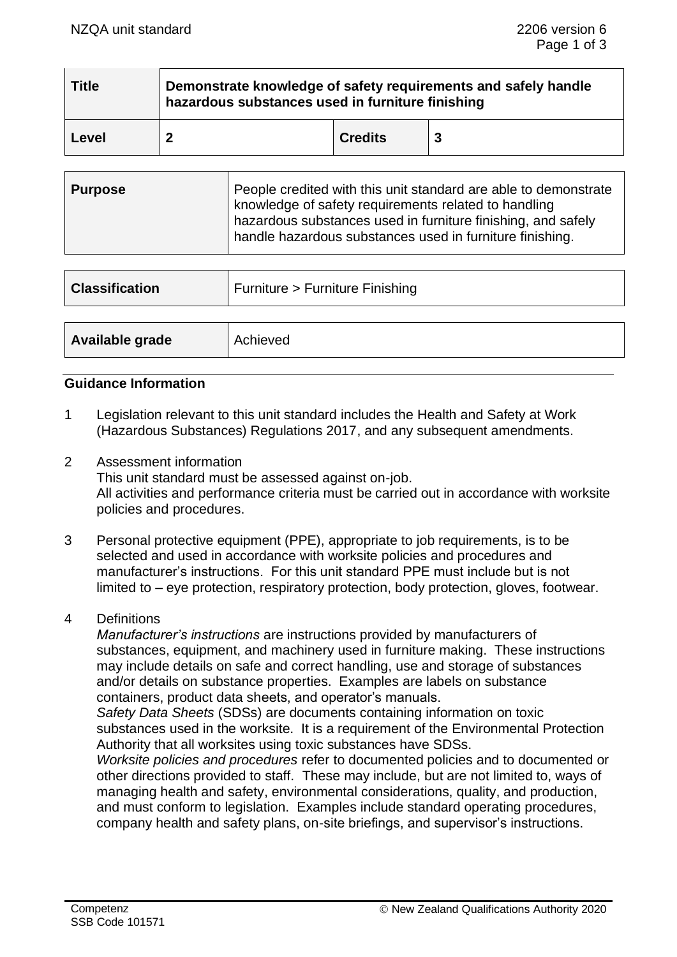| <b>Title</b> | Demonstrate knowledge of safety requirements and safely handle<br>hazardous substances used in furniture finishing |                |  |  |  |
|--------------|--------------------------------------------------------------------------------------------------------------------|----------------|--|--|--|
| Level        |                                                                                                                    | <b>Credits</b> |  |  |  |

| <b>Classification</b> | Furniture > Furniture Finishing |
|-----------------------|---------------------------------|
|                       |                                 |
| Available grade       | Achieved                        |

### **Guidance Information**

- 1 Legislation relevant to this unit standard includes the Health and Safety at Work (Hazardous Substances) Regulations 2017, and any subsequent amendments.
- 2 Assessment information This unit standard must be assessed against on-job. All activities and performance criteria must be carried out in accordance with worksite policies and procedures.
- 3 Personal protective equipment (PPE), appropriate to job requirements, is to be selected and used in accordance with worksite policies and procedures and manufacturer's instructions. For this unit standard PPE must include but is not limited to – eye protection, respiratory protection, body protection, gloves, footwear.
- 4 Definitions

*Manufacturer's instructions* are instructions provided by manufacturers of substances, equipment, and machinery used in furniture making. These instructions may include details on safe and correct handling, use and storage of substances and/or details on substance properties. Examples are labels on substance containers, product data sheets, and operator's manuals.

*Safety Data Sheets* (SDSs) are documents containing information on toxic substances used in the worksite. It is a requirement of the Environmental Protection Authority that all worksites using toxic substances have SDSs.

*Worksite policies and procedures* refer to documented policies and to documented or other directions provided to staff. These may include, but are not limited to, ways of managing health and safety, environmental considerations, quality, and production, and must conform to legislation. Examples include standard operating procedures, company health and safety plans, on-site briefings, and supervisor's instructions.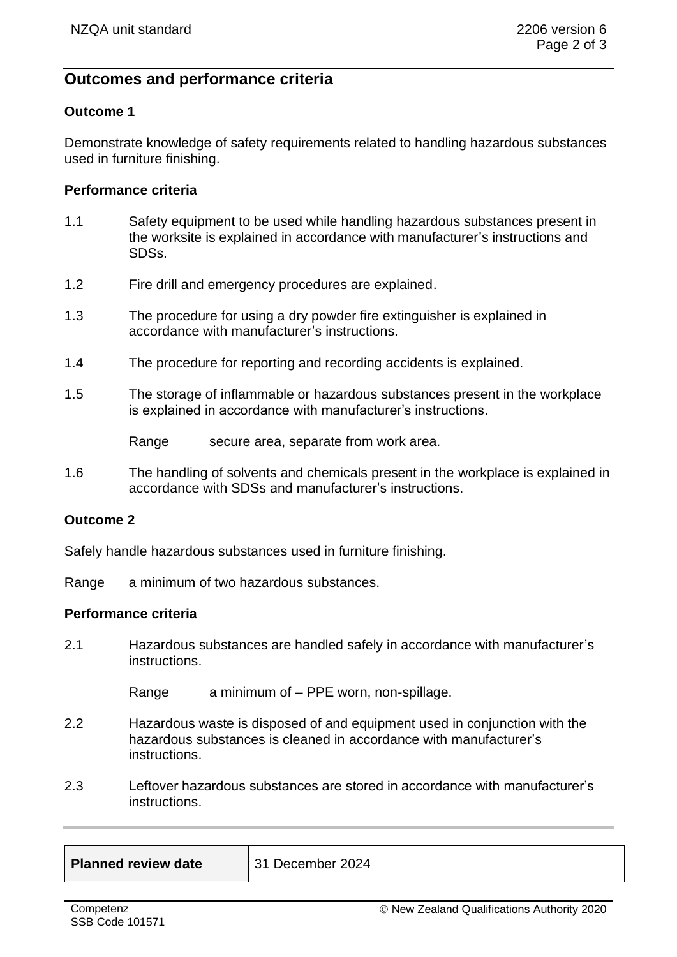# **Outcomes and performance criteria**

### **Outcome 1**

Demonstrate knowledge of safety requirements related to handling hazardous substances used in furniture finishing.

#### **Performance criteria**

- 1.1 Safety equipment to be used while handling hazardous substances present in the worksite is explained in accordance with manufacturer's instructions and SDSs.
- 1.2 Fire drill and emergency procedures are explained.
- 1.3 The procedure for using a dry powder fire extinguisher is explained in accordance with manufacturer's instructions.
- 1.4 The procedure for reporting and recording accidents is explained.
- 1.5 The storage of inflammable or hazardous substances present in the workplace is explained in accordance with manufacturer's instructions.

Range secure area, separate from work area.

1.6 The handling of solvents and chemicals present in the workplace is explained in accordance with SDSs and manufacturer's instructions.

### **Outcome 2**

Safely handle hazardous substances used in furniture finishing.

Range a minimum of two hazardous substances.

#### **Performance criteria**

2.1 Hazardous substances are handled safely in accordance with manufacturer's instructions.

Range a minimum of – PPE worn, non-spillage.

- 2.2 Hazardous waste is disposed of and equipment used in conjunction with the hazardous substances is cleaned in accordance with manufacturer's **instructions**
- 2.3 Leftover hazardous substances are stored in accordance with manufacturer's instructions.

| <b>Planned review date</b> | l 3 |
|----------------------------|-----|
|----------------------------|-----|

**Planned review date** 31 December 2024